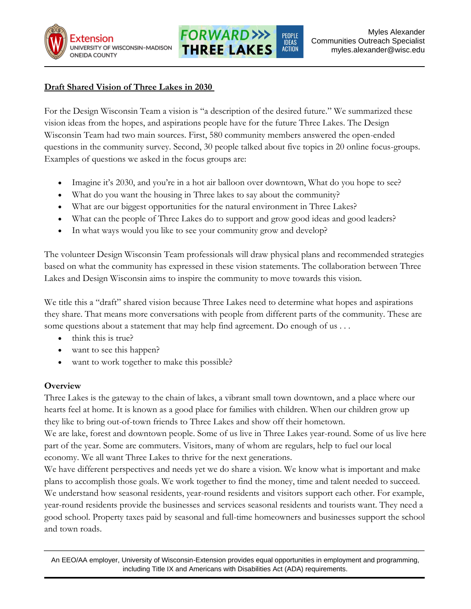



## **Draft Shared Vision of Three Lakes in 2030**

For the Design Wisconsin Team a vision is "a description of the desired future." We summarized these vision ideas from the hopes, and aspirations people have for the future Three Lakes. The Design Wisconsin Team had two main sources. First, 580 community members answered the open-ended questions in the community survey. Second, 30 people talked about five topics in 20 online focus-groups. Examples of questions we asked in the focus groups are:

- Imagine it's 2030, and you're in a hot air balloon over downtown, What do you hope to see?
- What do you want the housing in Three lakes to say about the community?
- What are our biggest opportunities for the natural environment in Three Lakes?
- What can the people of Three Lakes do to support and grow good ideas and good leaders?
- In what ways would you like to see your community grow and develop?

The volunteer Design Wisconsin Team professionals will draw physical plans and recommended strategies based on what the community has expressed in these vision statements. The collaboration between Three Lakes and Design Wisconsin aims to inspire the community to move towards this vision.

We title this a "draft" shared vision because Three Lakes need to determine what hopes and aspirations they share. That means more conversations with people from different parts of the community. These are some questions about a statement that may help find agreement. Do enough of us . . .

- think this is true?
- want to see this happen?
- want to work together to make this possible?

# **Overview**

Three Lakes is the gateway to the chain of lakes, a vibrant small town downtown, and a place where our hearts feel at home. It is known as a good place for families with children. When our children grow up they like to bring out-of-town friends to Three Lakes and show off their hometown.

We are lake, forest and downtown people. Some of us live in Three Lakes year-round. Some of us live here part of the year. Some are commuters. Visitors, many of whom are regulars, help to fuel our local economy. We all want Three Lakes to thrive for the next generations.

We have different perspectives and needs yet we do share a vision. We know what is important and make plans to accomplish those goals. We work together to find the money, time and talent needed to succeed. We understand how seasonal residents, year-round residents and visitors support each other. For example, year-round residents provide the businesses and services seasonal residents and tourists want. They need a good school. Property taxes paid by seasonal and full-time homeowners and businesses support the school and town roads.

An EEO/AA employer, University of Wisconsin-Extension provides equal opportunities in employment and programming, including Title IX and Americans with Disabilities Act (ADA) requirements.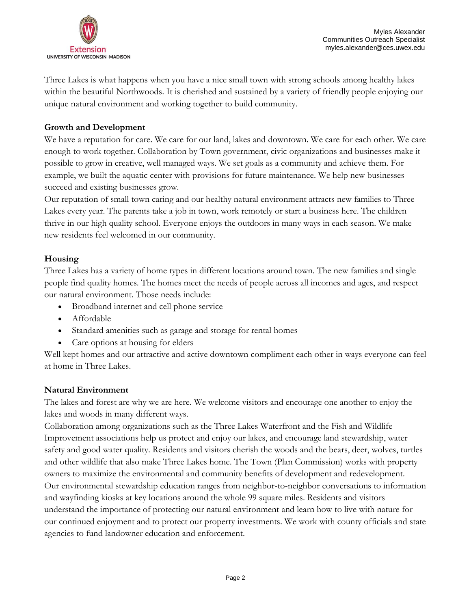

Three Lakes is what happens when you have a nice small town with strong schools among healthy lakes within the beautiful Northwoods. It is cherished and sustained by a variety of friendly people enjoying our unique natural environment and working together to build community.

## **Growth and Development**

We have a reputation for care. We care for our land, lakes and downtown. We care for each other. We care enough to work together. Collaboration by Town government, civic organizations and businesses make it possible to grow in creative, well managed ways. We set goals as a community and achieve them. For example, we built the aquatic center with provisions for future maintenance. We help new businesses succeed and existing businesses grow.

Our reputation of small town caring and our healthy natural environment attracts new families to Three Lakes every year. The parents take a job in town, work remotely or start a business here. The children thrive in our high quality school. Everyone enjoys the outdoors in many ways in each season. We make new residents feel welcomed in our community.

### **Housing**

Three Lakes has a variety of home types in different locations around town. The new families and single people find quality homes. The homes meet the needs of people across all incomes and ages, and respect our natural environment. Those needs include:

- Broadband internet and cell phone service
- Affordable
- Standard amenities such as garage and storage for rental homes
- Care options at housing for elders

Well kept homes and our attractive and active downtown compliment each other in ways everyone can feel at home in Three Lakes.

#### **Natural Environment**

The lakes and forest are why we are here. We welcome visitors and encourage one another to enjoy the lakes and woods in many different ways.

Collaboration among organizations such as the Three Lakes Waterfront and the Fish and Wildlife Improvement associations help us protect and enjoy our lakes, and encourage land stewardship, water safety and good water quality. Residents and visitors cherish the woods and the bears, deer, wolves, turtles and other wildlife that also make Three Lakes home. The Town (Plan Commission) works with property owners to maximize the environmental and community benefits of development and redevelopment. Our environmental stewardship education ranges from neighbor-to-neighbor conversations to information and wayfinding kiosks at key locations around the whole 99 square miles. Residents and visitors understand the importance of protecting our natural environment and learn how to live with nature for our continued enjoyment and to protect our property investments. We work with county officials and state agencies to fund landowner education and enforcement.